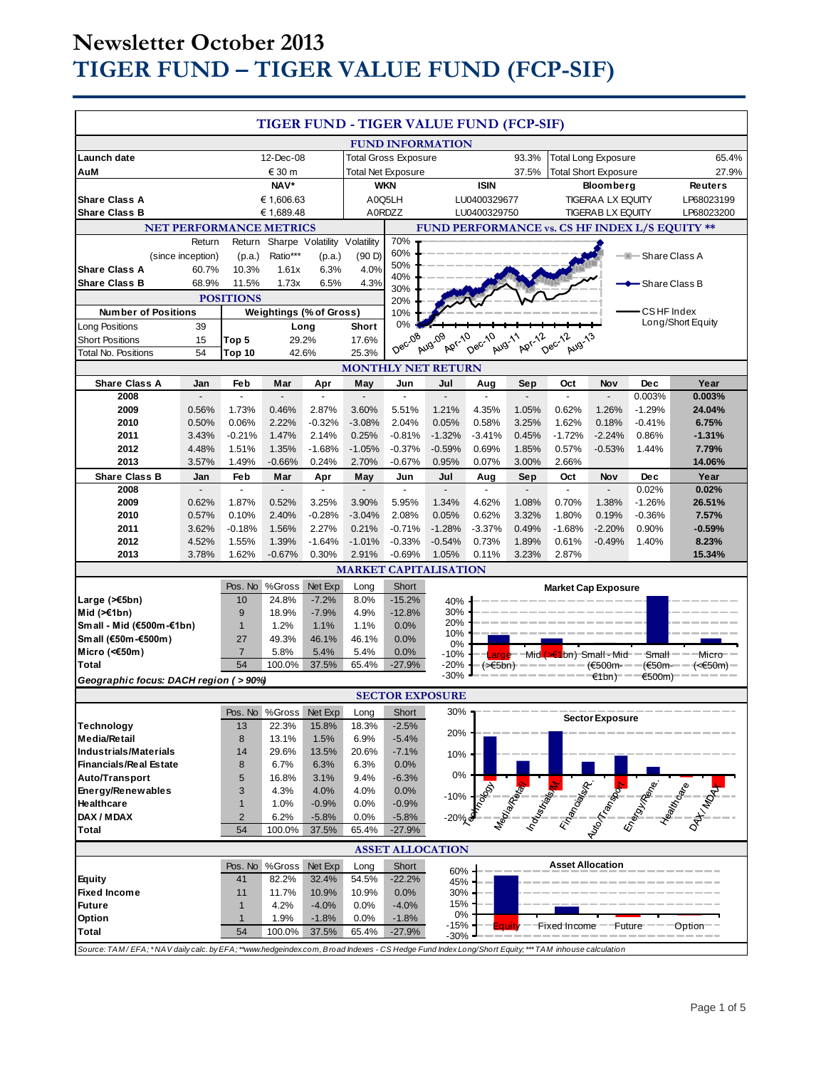# **Newsletter October 2013 TIGER FUND – TIGER VALUE FUND (FCP-SIF)**

| TIGER FUND - TIGER VALUE FUND (FCP-SIF)                                                                                                             |                   |                                        |                                                          |                         |                   |                     |                                                           |                      |                          |                            |                                                |                         |                                                                                                                                                                                                                                  |
|-----------------------------------------------------------------------------------------------------------------------------------------------------|-------------------|----------------------------------------|----------------------------------------------------------|-------------------------|-------------------|---------------------|-----------------------------------------------------------|----------------------|--------------------------|----------------------------|------------------------------------------------|-------------------------|----------------------------------------------------------------------------------------------------------------------------------------------------------------------------------------------------------------------------------|
|                                                                                                                                                     |                   |                                        |                                                          | <b>FUND INFORMATION</b> |                   |                     |                                                           |                      |                          |                            |                                                |                         |                                                                                                                                                                                                                                  |
| Launch date<br>12-Dec-08<br>€ 30 m<br>AuM                                                                                                           |                   |                                        | <b>Total Gross Exposure</b><br><b>Total Net Exposure</b> |                         |                   | 93.3%<br>37.5%      | <b>Total Long Exposure</b><br><b>Total Short Exposure</b> |                      |                          | 65.4%<br>27.9%             |                                                |                         |                                                                                                                                                                                                                                  |
|                                                                                                                                                     |                   | NAV*                                   |                                                          |                         | <b>WKN</b>        |                     | <b>ISIN</b>                                               |                      | <b>Bloomberg</b>         |                            | <b>Reuters</b>                                 |                         |                                                                                                                                                                                                                                  |
| <b>Share Class A</b>                                                                                                                                |                   | € 1,606.63                             |                                                          |                         | A0Q5LH            |                     | LU0400329677                                              |                      | <b>TIGERAA LX EQUITY</b> |                            | LP68023199                                     |                         |                                                                                                                                                                                                                                  |
| <b>Share Class B</b>                                                                                                                                |                   |                                        | € 1,689.48                                               |                         |                   | A0RDZZ              |                                                           | LU0400329750         |                          |                            | <b>TIGERAB LX EQUITY</b>                       |                         | LP68023200                                                                                                                                                                                                                       |
| <b>NET PERFORMANCE METRICS</b>                                                                                                                      |                   |                                        |                                                          |                         |                   |                     |                                                           |                      |                          |                            | FUND PERFORMANCE vs. CS HF INDEX L/S EQUITY ** |                         |                                                                                                                                                                                                                                  |
| Return                                                                                                                                              |                   | Sharpe Volatility Volatility<br>Return |                                                          |                         |                   | 70%                 |                                                           |                      |                          |                            |                                                |                         |                                                                                                                                                                                                                                  |
|                                                                                                                                                     | (since inception) | (p.a.)                                 | Ratio***                                                 | (p.a.)                  | (90D)             | 60%                 |                                                           |                      |                          |                            |                                                | <b>B</b> -Share Class A |                                                                                                                                                                                                                                  |
| <b>Share Class A</b>                                                                                                                                | 60.7%             | 10.3%                                  | 1.61x                                                    | 6.3%                    | 4.0%              | 50%<br>40%          |                                                           |                      |                          |                            |                                                |                         |                                                                                                                                                                                                                                  |
| <b>Share Class B</b>                                                                                                                                | 68.9%             | 11.5%                                  | 1.73x                                                    | 6.5%                    | 4.3%              | 30%                 |                                                           |                      |                          |                            |                                                | - Share Class B         |                                                                                                                                                                                                                                  |
|                                                                                                                                                     |                   | <b>POSITIONS</b>                       |                                                          |                         |                   | 20%                 |                                                           |                      |                          |                            |                                                |                         |                                                                                                                                                                                                                                  |
| <b>Number of Positions</b>                                                                                                                          |                   |                                        | <b>Weightings (% of Gross)</b>                           |                         |                   | 10%                 |                                                           |                      |                          |                            |                                                | CSHF Index              |                                                                                                                                                                                                                                  |
| Long Positions                                                                                                                                      | 39                |                                        |                                                          | Long                    | Short             | 0%                  |                                                           |                      |                          |                            |                                                |                         | Long/Short Equity                                                                                                                                                                                                                |
| <b>Short Positions</b>                                                                                                                              | 15                | Top 5                                  | 29.2%                                                    |                         | 17.6%             | Dec-08              | <b>Apr-10</b><br>Aug-09                                   | Dec-10<br>Aug-11     | Apr-12                   | Dec-12<br>Aug-13           |                                                |                         |                                                                                                                                                                                                                                  |
| <b>Total No. Positions</b>                                                                                                                          | 54                | Top 10                                 |                                                          | 42.6%                   | 25.3%             |                     |                                                           |                      |                          |                            |                                                |                         |                                                                                                                                                                                                                                  |
|                                                                                                                                                     |                   |                                        |                                                          |                         |                   |                     | <b>MONTHLY NET RETURN</b>                                 |                      |                          |                            |                                                |                         |                                                                                                                                                                                                                                  |
| <b>Share Class A</b><br>2008                                                                                                                        | Jan               | Feb                                    | Mar                                                      | Apr                     | May               | Jun                 | Jul                                                       | Aug                  | Sep                      | Oct                        | Nov                                            | <b>Dec</b><br>0.003%    | Year<br>0.003%                                                                                                                                                                                                                   |
| 2009                                                                                                                                                | 0.56%             | 1.73%                                  | 0.46%                                                    | 2.87%                   | 3.60%             | 5.51%               | 1.21%                                                     | 4.35%                | 1.05%                    | 0.62%                      | 1.26%                                          | $-1.29%$                | 24.04%                                                                                                                                                                                                                           |
| 2010                                                                                                                                                | 0.50%             | 0.06%                                  | 2.22%                                                    | $-0.32%$                | $-3.08%$          | 2.04%               | 0.05%                                                     | 0.58%                | 3.25%                    | 1.62%                      | 0.18%                                          | $-0.41%$                | 6.75%                                                                                                                                                                                                                            |
| 2011                                                                                                                                                | 3.43%             | $-0.21%$                               | 1.47%                                                    | 2.14%                   | 0.25%             | $-0.81%$            | $-1.32%$                                                  | $-3.41%$             | 0.45%                    | $-1.72%$                   | $-2.24%$                                       | 0.86%                   | $-1.31%$                                                                                                                                                                                                                         |
| 2012                                                                                                                                                | 4.48%             | 1.51%                                  | 1.35%                                                    | $-1.68%$                | $-1.05%$          | $-0.37%$            | $-0.59%$                                                  | 0.69%                | 1.85%                    | 0.57%                      | $-0.53%$                                       | 1.44%                   | 7.79%                                                                                                                                                                                                                            |
| 2013                                                                                                                                                | 3.57%             | 1.49%                                  | $-0.66%$                                                 | 0.24%                   | 2.70%             | $-0.67%$            | 0.95%                                                     | 0.07%                | 3.00%                    | 2.66%                      |                                                |                         | 14.06%                                                                                                                                                                                                                           |
| <b>Share Class B</b>                                                                                                                                | Jan               | Feb                                    | Mar                                                      | Apr                     | May               | Jun                 | Jul                                                       | Aug                  | Sep                      | Oct                        | Nov                                            | <b>Dec</b>              | Year                                                                                                                                                                                                                             |
| 2008                                                                                                                                                |                   |                                        |                                                          |                         |                   |                     |                                                           |                      |                          | $\blacksquare$             |                                                | 0.02%                   | 0.02%                                                                                                                                                                                                                            |
| 2009                                                                                                                                                | 0.62%             | 1.87%                                  | 0.52%                                                    | 3.25%                   | 3.90%             | 5.95%               | 1.34%                                                     | 4.62%                | 1.08%                    | 0.70%                      | 1.38%                                          | $-1.26%$                | 26.51%                                                                                                                                                                                                                           |
| 2010<br>2011                                                                                                                                        | 0.57%<br>3.62%    | 0.10%<br>$-0.18%$                      | 2.40%<br>1.56%                                           | $-0.28%$<br>2.27%       | $-3.04%$<br>0.21% | 2.08%<br>$-0.71%$   | 0.05%<br>$-1.28%$                                         | 0.62%<br>$-3.37%$    | 3.32%<br>0.49%           | 1.80%<br>$-1.68%$          | 0.19%<br>$-2.20%$                              | $-0.36%$<br>0.90%       | 7.57%<br>$-0.59%$                                                                                                                                                                                                                |
| 2012                                                                                                                                                | 4.52%             | 1.55%                                  | 1.39%                                                    | $-1.64%$                | $-1.01%$          | $-0.33%$            | $-0.54%$                                                  | 0.73%                | 1.89%                    | 0.61%                      | $-0.49%$                                       | 1.40%                   | 8.23%                                                                                                                                                                                                                            |
| 2013                                                                                                                                                | 3.78%             | 1.62%                                  | $-0.67%$                                                 | 0.30%                   | 2.91%             | $-0.69%$            | 1.05%                                                     | 0.11%                | 3.23%                    | 2.87%                      |                                                |                         | 15.34%                                                                                                                                                                                                                           |
|                                                                                                                                                     |                   |                                        |                                                          |                         |                   |                     | <b>MARKET CAPITALISATION</b>                              |                      |                          |                            |                                                |                         |                                                                                                                                                                                                                                  |
|                                                                                                                                                     |                   | Pos. No                                | %Gross                                                   | Net Exp                 | Long              | Short               |                                                           |                      |                          | <b>Market Cap Exposure</b> |                                                |                         |                                                                                                                                                                                                                                  |
| Large (>€5bn)                                                                                                                                       |                   | 10                                     | 24.8%                                                    | $-7.2%$                 | 8.0%              | $-15.2%$            | 40%                                                       |                      |                          |                            |                                                |                         |                                                                                                                                                                                                                                  |
| Mid $(\ge 1$ bn)                                                                                                                                    |                   | 9                                      | 18.9%                                                    | $-7.9%$                 | 4.9%              | $-12.8%$            | 30%                                                       |                      |                          |                            |                                                |                         |                                                                                                                                                                                                                                  |
| Small - Mid (€500m-€1bn)                                                                                                                            |                   | $\mathbf{1}$                           | 1.2%                                                     | 1.1%                    | 1.1%              | 0.0%                | 20%                                                       |                      |                          |                            |                                                |                         |                                                                                                                                                                                                                                  |
| Small (€50m-€500m)                                                                                                                                  |                   | 27                                     | 49.3%                                                    | 46.1%                   | 46.1%             | 0.0%                | 10%<br>0%                                                 |                      |                          |                            |                                                |                         |                                                                                                                                                                                                                                  |
| Micro (<€50m)                                                                                                                                       |                   | $\overline{7}$                         | 5.8%                                                     | 5.4%                    | 5.4%              | 0.0%                | $-10%$                                                    |                      |                          | Mid (>€1bn) Small - Mid    |                                                | Small-                  | Micro                                                                                                                                                                                                                            |
| <b>Total</b>                                                                                                                                        |                   | 54                                     | 100.0%                                                   | 37.5%                   | 65.4%             | $-27.9%$            | -20%<br>$-30%$                                            | (>€5bn) <sup>.</sup> |                          |                            | — <del>(€</del> 500m-<br>$f$ (1bn)             | $\epsilon$ 500m)        | (€50m-—— <del>(&lt;€</del> 50m)−                                                                                                                                                                                                 |
| Geographic focus: DACH region (>90%)                                                                                                                |                   |                                        |                                                          |                         |                   |                     |                                                           |                      |                          |                            |                                                |                         |                                                                                                                                                                                                                                  |
| <b>SECTOR EXPOSURE</b><br>Pos. No %Gross Net Exp                                                                                                    |                   |                                        |                                                          |                         |                   |                     |                                                           |                      |                          |                            |                                                |                         |                                                                                                                                                                                                                                  |
|                                                                                                                                                     |                   |                                        |                                                          |                         | $Long \Box$       | Short               | 30%                                                       |                      |                          |                            | <b>Sector Exposure</b>                         |                         |                                                                                                                                                                                                                                  |
| Technology<br><b>Media/Retail</b>                                                                                                                   |                   | 13<br>8                                | 22.3%<br>13.1%                                           | 15.8%<br>1.5%           | 18.3%<br>6.9%     | $-2.5%$<br>$-5.4%$  | 20%                                                       |                      |                          |                            |                                                |                         |                                                                                                                                                                                                                                  |
| <b>Industrials/Materials</b>                                                                                                                        |                   | 14                                     | 29.6%                                                    | 13.5%                   | 20.6%             | $-7.1%$             | 10%                                                       |                      |                          |                            |                                                |                         |                                                                                                                                                                                                                                  |
| <b>Financials/Real Estate</b>                                                                                                                       |                   | 8                                      | 6.7%                                                     | 6.3%                    | 6.3%              | 0.0%                |                                                           |                      |                          |                            |                                                |                         |                                                                                                                                                                                                                                  |
| Auto/Transport                                                                                                                                      |                   | 5                                      | 16.8%                                                    | 3.1%                    | 9.4%              | $-6.3%$             | $0\%$                                                     |                      |                          |                            |                                                |                         |                                                                                                                                                                                                                                  |
| Energy/Renewables                                                                                                                                   |                   | 3                                      | 4.3%                                                     | 4.0%                    | 4.0%              | 0.0%                | $-10%$                                                    |                      |                          |                            |                                                |                         |                                                                                                                                                                                                                                  |
| Healthcare                                                                                                                                          |                   | $\mathbf{1}$                           | 1.0%                                                     | $-0.9%$                 | 0.0%              | $-0.9%$             |                                                           |                      |                          |                            |                                                |                         |                                                                                                                                                                                                                                  |
| DAX / MDAX                                                                                                                                          |                   | $\overline{2}$                         | 6.2%                                                     | $-5.8%$                 | 0.0%              | $-5.8%$             | $-20\%$                                                   |                      |                          |                            |                                                |                         | Megalaxie de la Castro de La Castro de la Castro de la Castro de la Castro de la Castro de la Castro de la Cas<br>Castro de la Castro de la Castro de la Castro de la Castro de la Castro de la Castro de la Castro de la Castro |
| Total                                                                                                                                               |                   | 54                                     | 100.0%                                                   | 37.5%                   | 65.4%             | $-27.9%$            |                                                           |                      |                          |                            |                                                |                         |                                                                                                                                                                                                                                  |
| <b>ASSET ALLOCATION</b>                                                                                                                             |                   |                                        |                                                          |                         |                   |                     |                                                           |                      |                          |                            |                                                |                         |                                                                                                                                                                                                                                  |
|                                                                                                                                                     |                   | Pos. No                                | %Gross                                                   | Net Exp                 | Long              | Short               | 60%                                                       |                      |                          | <b>Asset Allocation</b>    |                                                |                         |                                                                                                                                                                                                                                  |
| Equity                                                                                                                                              |                   | 41                                     | 82.2%                                                    | 32.4%                   | 54.5%             | $-22.2%$            | 45%                                                       |                      |                          |                            |                                                |                         |                                                                                                                                                                                                                                  |
| <b>Fixed Income</b>                                                                                                                                 |                   | 11                                     | 11.7%                                                    | 10.9%                   | 10.9%             | 0.0%                | 30%                                                       |                      |                          |                            |                                                |                         |                                                                                                                                                                                                                                  |
| <b>Future</b>                                                                                                                                       |                   | $\mathbf{1}$                           | 4.2%                                                     | $-4.0%$                 | 0.0%              | $-4.0%$             | 15%<br>0%                                                 |                      |                          |                            |                                                |                         |                                                                                                                                                                                                                                  |
| Option<br>Total                                                                                                                                     |                   | $\mathbf{1}$<br>54                     | 1.9%<br>100.0%                                           | $-1.8%$<br>37.5%        | 0.0%<br>65.4%     | $-1.8%$<br>$-27.9%$ | -15%                                                      |                      |                          | Fixed Income               | Future                                         |                         | Option                                                                                                                                                                                                                           |
|                                                                                                                                                     |                   |                                        |                                                          |                         |                   |                     | $-30%$                                                    |                      |                          |                            |                                                |                         |                                                                                                                                                                                                                                  |
| Source: TAM/EFA; * NAV daily calc. by EFA; **www.hedgeindex.com, Broad Indexes - CS Hedge Fund Index Long/Short Equity; *** TAM inhouse calculation |                   |                                        |                                                          |                         |                   |                     |                                                           |                      |                          |                            |                                                |                         |                                                                                                                                                                                                                                  |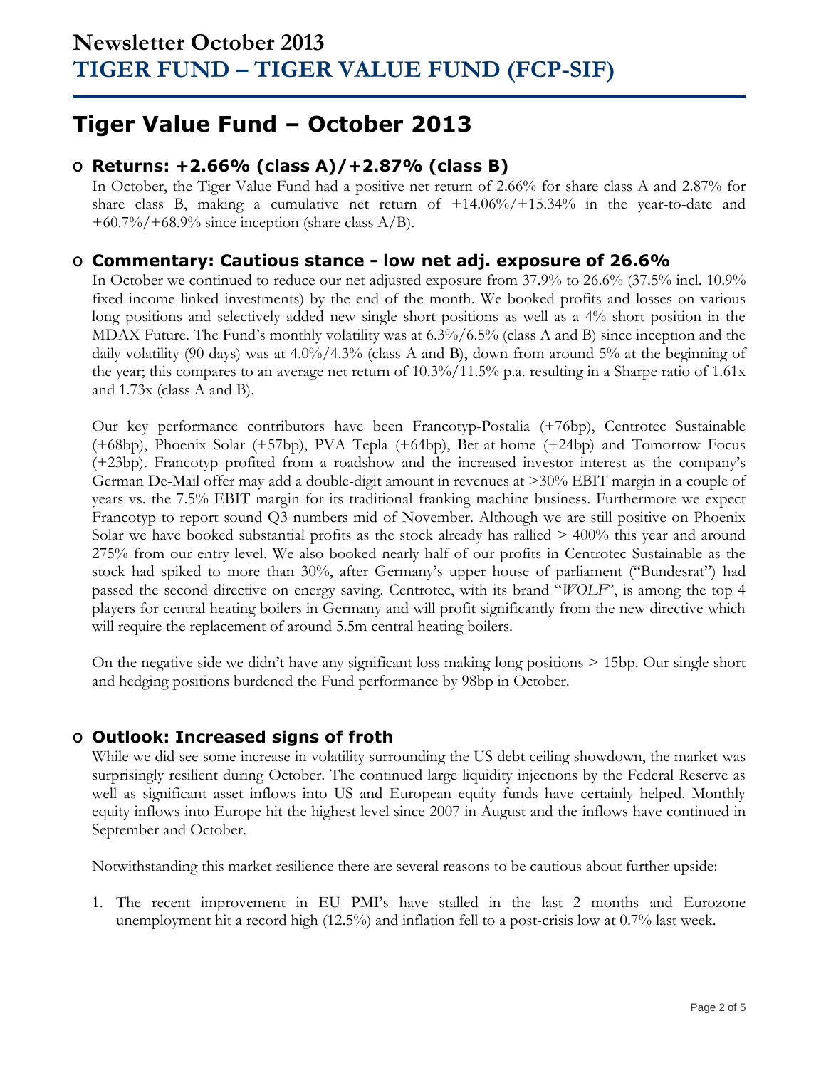## **Tiger Value Fund – October 2013**

## **O Returns: +2.66% (class A)/+2.87% (class B)**

In October, the Tiger Value Fund had a positive net return of 2.66% for share class A and 2.87% for share class B, making a cumulative net return of  $+14.06\%/+15.34\%$  in the year-to-date and  $+60.7\%/+68.9\%$  since inception (share class A/B).

### **O Commentary: Cautious stance - low net adj. exposure of 26.6%**

In October we continued to reduce our net adjusted exposure from 37.9% to 26.6% (37.5% incl. 10.9% fixed income linked investments) by the end of the month. We booked profits and losses on various long positions and selectively added new single short positions as well as a 4% short position in the MDAX Future. The Fund's monthly volatility was at  $6.3\%/6.5\%$  (class A and B) since inception and the daily volatility (90 days) was at  $4.0\%/4.3\%$  (class A and B), down from around 5% at the beginning of the year; this compares to an average net return of 10.3%/11.5% p.a. resulting in a Sharpe ratio of 1.61x and 1.73x (class A and B).

Our key performance contributors have been Francotyp-Postalia (+76bp), Centrotec Sustainable (+68bp), Phoenix Solar (+57bp), PVA Tepla (+64bp), Bet-at-home (+24bp) and Tomorrow Focus (+23bp). Francotyp profited from a roadshow and the increased investor interest as the company's German De-Mail offer may add a double-digit amount in revenues at >30% EBIT margin in a couple of years vs. the 7.5% EBIT margin for its traditional franking machine business. Furthermore we expect Francotyp to report sound Q3 numbers mid of November. Although we are still positive on Phoenix Solar we have booked substantial profits as the stock already has rallied > 400% this year and around 275% from our entry level. We also booked nearly half of our profits in Centrotec Sustainable as the stock had spiked to more than 30%, after Germany's upper house of parliament ("Bundesrat") had passed the second directive on energy saving. Centrotec, with its brand "*WOLF*", is among the top 4 players for central heating boilers in Germany and will profit significantly from the new directive which will require the replacement of around 5.5m central heating boilers.

On the negative side we didn't have any significant loss making long positions > 15bp. Our single short and hedging positions burdened the Fund performance by 98bp in October.

## **O Outlook: Increased signs of froth**

While we did see some increase in volatility surrounding the US debt ceiling showdown, the market was surprisingly resilient during October. The continued large liquidity injections by the Federal Reserve as well as significant asset inflows into US and European equity funds have certainly helped. Monthly equity inflows into Europe hit the highest level since 2007 in August and the inflows have continued in September and October.

Notwithstanding this market resilience there are several reasons to be cautious about further upside:

1. The recent improvement in EU PMI's have stalled in the last 2 months and Eurozone unemployment hit a record high (12.5%) and inflation fell to a post-crisis low at 0.7% last week.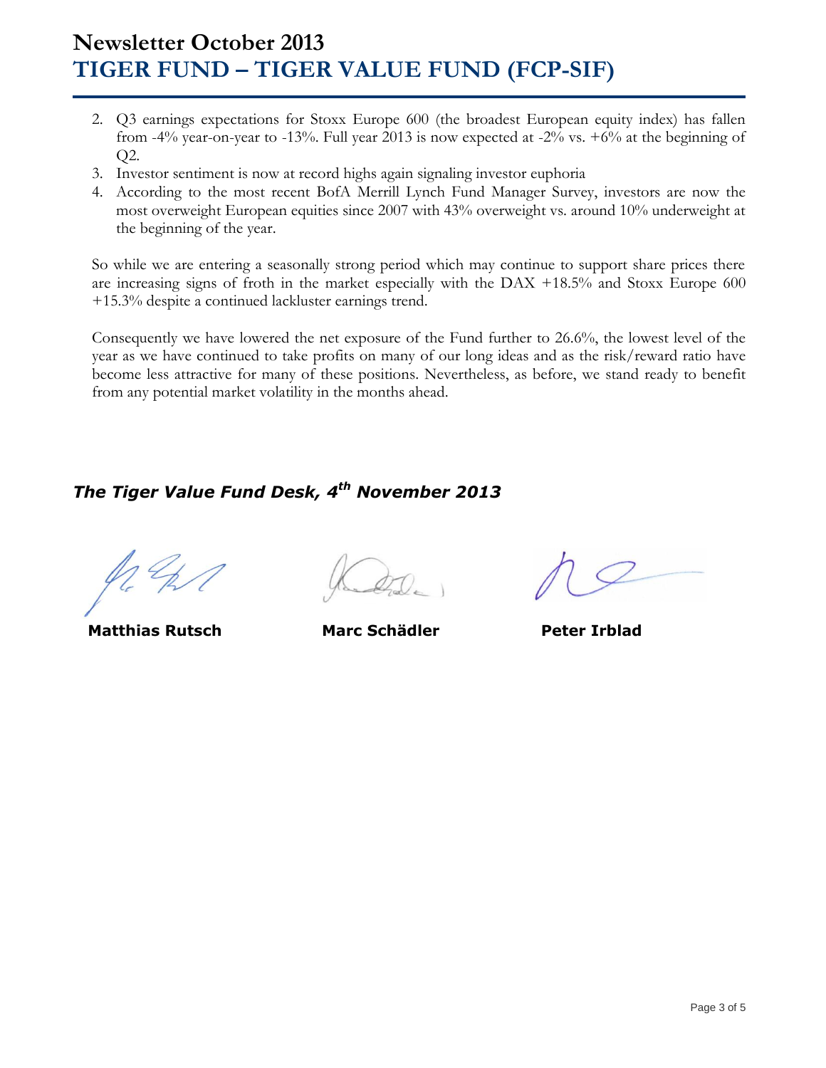## **Newsletter October 2013 TIGER FUND – TIGER VALUE FUND (FCP-SIF)**

- 2. Q3 earnings expectations for Stoxx Europe 600 (the broadest European equity index) has fallen from -4% year-on-year to -13%. Full year 2013 is now expected at -2% vs. +6% at the beginning of Q2.
- 3. Investor sentiment is now at record highs again signaling investor euphoria
- 4. According to the most recent BofA Merrill Lynch Fund Manager Survey, investors are now the most overweight European equities since 2007 with 43% overweight vs. around 10% underweight at the beginning of the year.

So while we are entering a seasonally strong period which may continue to support share prices there are increasing signs of froth in the market especially with the DAX +18.5% and Stoxx Europe 600 +15.3% despite a continued lackluster earnings trend.

Consequently we have lowered the net exposure of the Fund further to 26.6%, the lowest level of the year as we have continued to take profits on many of our long ideas and as the risk/reward ratio have become less attractive for many of these positions. Nevertheless, as before, we stand ready to benefit from any potential market volatility in the months ahead.

## *The Tiger Value Fund Desk, 4 th November 2013*

 **Matthias Rutsch Marc Schädler Peter Irblad**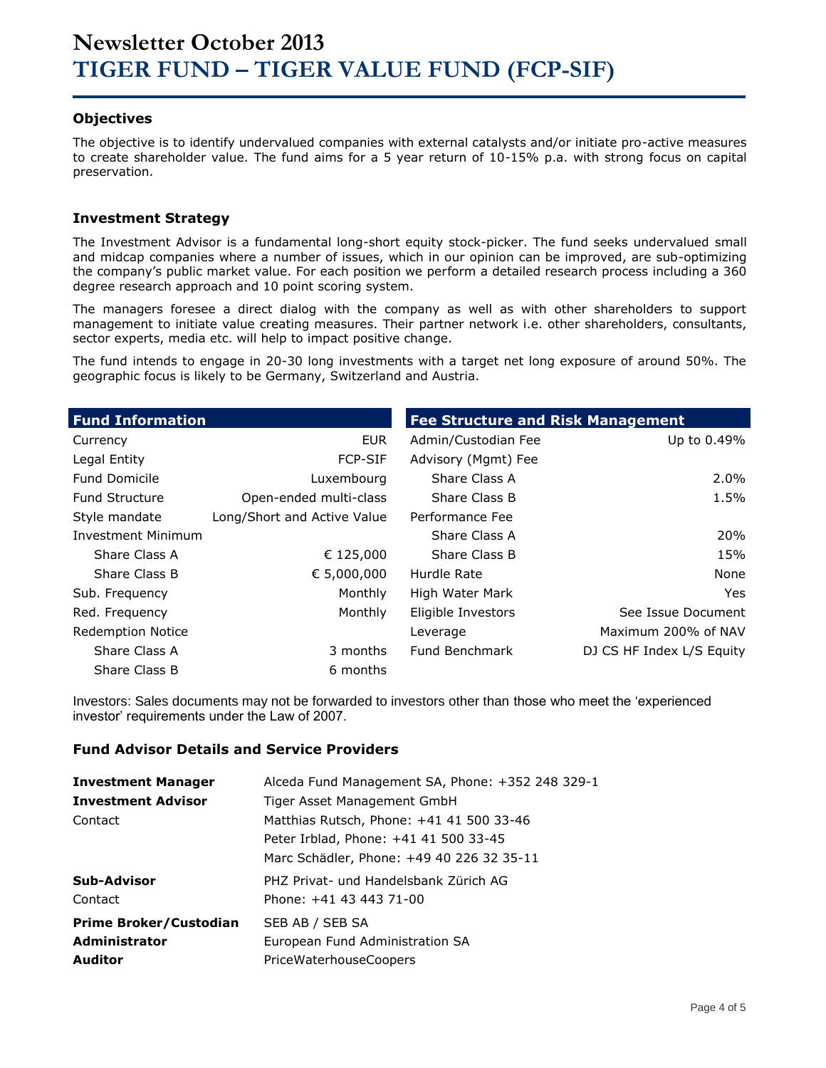#### **Objectives**

The objective is to identify undervalued companies with external catalysts and/or initiate pro-active measures to create shareholder value. The fund aims for a 5 year return of 10-15% p.a. with strong focus on capital preservation.

#### **Investment Strategy**

The Investment Advisor is a fundamental long-short equity stock-picker. The fund seeks undervalued small and midcap companies where a number of issues, which in our opinion can be improved, are sub-optimizing the company's public market value. For each position we perform a detailed research process including a 360 degree research approach and 10 point scoring system.

The managers foresee a direct dialog with the company as well as with other shareholders to support management to initiate value creating measures. Their partner network i.e. other shareholders, consultants, sector experts, media etc. will help to impact positive change.

The fund intends to engage in 20-30 long investments with a target net long exposure of around 50%. The geographic focus is likely to be Germany, Switzerland and Austria.

| <b>Fund Information</b>   |                             | <b>Fee Structure and Risk Management</b> |                           |
|---------------------------|-----------------------------|------------------------------------------|---------------------------|
| Currency                  | <b>EUR</b>                  | Admin/Custodian Fee                      | Up to 0.49%               |
| Legal Entity              | <b>FCP-SIF</b>              | Advisory (Mgmt) Fee                      |                           |
| <b>Fund Domicile</b>      | Luxembourg                  | Share Class A                            | $2.0\%$                   |
| <b>Fund Structure</b>     | Open-ended multi-class      | Share Class B                            | 1.5%                      |
| Style mandate             | Long/Short and Active Value | Performance Fee                          |                           |
| <b>Investment Minimum</b> |                             | Share Class A                            | 20%                       |
| Share Class A             | € 125,000                   | Share Class B                            | 15%                       |
| Share Class B             | € 5,000,000                 | Hurdle Rate                              | None                      |
| Sub. Frequency            | Monthly                     | High Water Mark                          | <b>Yes</b>                |
| Red. Frequency            | Monthly                     | Eligible Investors                       | See Issue Document        |
| <b>Redemption Notice</b>  |                             | Leverage                                 | Maximum 200% of NAV       |
| Share Class A             | 3 months                    | Fund Benchmark                           | DJ CS HF Index L/S Equity |
| Share Class B             | 6 months                    |                                          |                           |

Investors: Sales documents may not be forwarded to investors other than those who meet the 'experienced investor' requirements under the Law of 2007.

#### **Fund Advisor Details and Service Providers**

| <b>Investment Manager</b>     | Alceda Fund Management SA, Phone: +352 248 329-1                                                                               |
|-------------------------------|--------------------------------------------------------------------------------------------------------------------------------|
| <b>Investment Advisor</b>     | Tiger Asset Management GmbH                                                                                                    |
| Contact                       | Matthias Rutsch, Phone: +41 41 500 33-46<br>Peter Irblad, Phone: +41 41 500 33-45<br>Marc Schädler, Phone: +49 40 226 32 35-11 |
| Sub-Advisor                   | PHZ Privat- und Handelsbank Zürich AG                                                                                          |
| Contact                       | Phone: +41 43 443 71-00                                                                                                        |
| <b>Prime Broker/Custodian</b> | SEB AB / SEB SA                                                                                                                |
| <b>Administrator</b>          | European Fund Administration SA                                                                                                |
| <b>Auditor</b>                | PriceWaterhouseCoopers                                                                                                         |